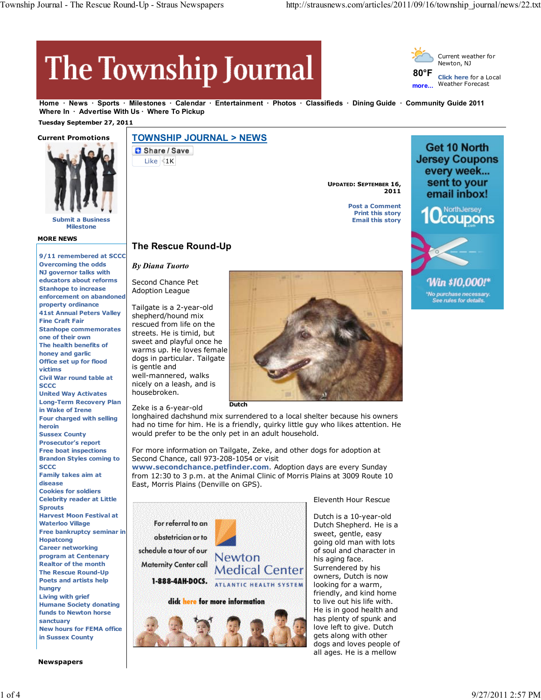# The Township Journal



**Home News Sports Milestones Calendar Entertainment Photos Classifieds Dining Guide Community Guide 2011** Where In · Advertise With Us · Where To Pickup

## **Tuesday September 27, 2011**



**Submit a Business Milestone**

## **MORE NEWS**

#### **9/11 remembered at SCCC Overcoming the odds NJ governor talks with educators about reforms Stanhope to increase enforcement on abandoned property ordinance 41st Annual Peters Valley Fine Craft Fair Stanhope commemorates one of their own The health benefits of honey and garlic Office set up for flood victims Civil War round table at SCCC United Way Activates Long-Term Recovery Plan in Wake of Irene Four charged with selling heroin Sussex County Prosecutor's report Free boat inspections Brandon Styles coming to SCCC Family takes aim at disease Cookies for soldiers Celebrity reader at Little Sprouts Harvest Moon Festival at Waterloo Village Free bankruptcy seminar in Hopatcong Career networking program at Centenary Realtor of the month The Rescue Round-Up Poets and artists help hungry Living with grief Humane Society donating funds to Newton horse sanctuary New hours for FEMA office in Sussex County**

**Newspapers**

# **TOWNSHIP JOURNAL > NEWS**

Share / Save

*By Diana Tuorto* Second Chance Pet Adoption League

Like  $4K$ 

**UPDATED: SEPTEMBER 16, 2011**

> **Post a Comment Print this story Email this story**





Win \$10,000!\*

*No purchase necessary.*<br>See rules for details.

Tailgate is a 2-year-old shepherd/hound mix rescued from life on the streets. He is timid, but sweet and playful once he warms up. He loves female dogs in particular. Tailgate is gentle and well-mannered, walks

**The Rescue Round-Up**

nicely on a leash, and is housebroken.

Zeke is a 6-year-old

longhaired dachshund mix surrendered to a local shelter because his owners had no time for him. He is a friendly, quirky little guy who likes attention. He would prefer to be the only pet in an adult household.

For more information on Tailgate, Zeke, and other dogs for adoption at Second Chance, call 973-208-1054 or visit

**Dutch**

**www.secondchance.petfinder.com**. Adoption days are every Sunday from 12:30 to 3 p.m. at the Animal Clinic of Morris Plains at 3009 Route 10 East, Morris Plains (Denville on GPS).



Eleventh Hour Rescue

Dutch is a 10-year-old Dutch Shepherd. He is a sweet, gentle, easy going old man with lots of soul and character in his aging face. Surrendered by his owners, Dutch is now looking for a warm, friendly, and kind home to live out his life with. He is in good health and has plenty of spunk and love left to give. Dutch gets along with other dogs and loves people of all ages. He is a mellow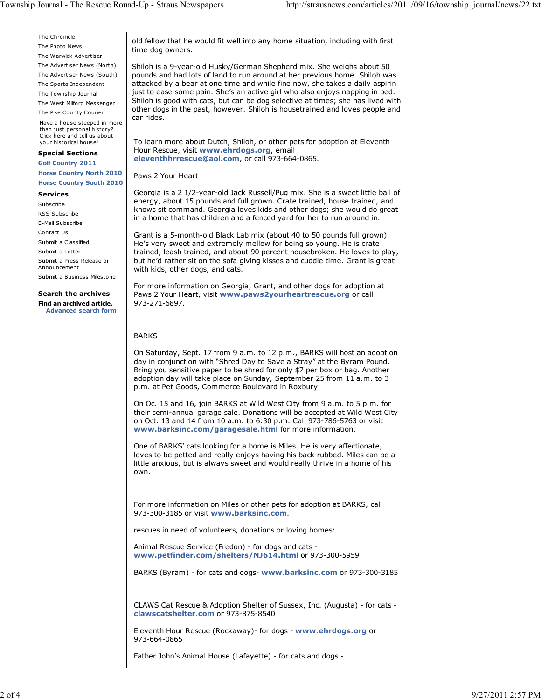The Chronicle The Photo News

The Warwick Advertiser

The Advertiser News (North)

The Advertiser News (South)

The Sparta Independent

The Township Journal

The West Milford Messenger

The Pike County Courier Have a house steeped in more than just personal history? Click here and tell us about your historical house!

### **Special Sections**

**Golf Country 2011 Horse Country North 2010 Horse Country South 2010**

#### **Services**

Subscribe RSS Subscribe E-Mail Subscribe Contact Us Submit a Classified Submit a Letter Submit a Press Release or Announcement Submit a Business Milestone

## **Search the archives**

**Find an archived article. Advanced search form** old fellow that he would fit well into any home situation, including with first time dog owners.

Shiloh is a 9-year-old Husky/German Shepherd mix. She weighs about 50 pounds and had lots of land to run around at her previous home. Shiloh was attacked by a bear at one time and while fine now, she takes a daily aspirin just to ease some pain. She's an active girl who also enjoys napping in bed. Shiloh is good with cats, but can be dog selective at times; she has lived with other dogs in the past, however. Shiloh is housetrained and loves people and car rides.

To learn more about Dutch, Shiloh, or other pets for adoption at Eleventh Hour Rescue, visit **www.ehrdogs.org**, email **eleventhhrrescue@aol.com**, or call 973-664-0865.

Paws 2 Your Heart

Georgia is a 2 1/2-year-old Jack Russell/Pug mix. She is a sweet little ball of energy, about 15 pounds and full grown. Crate trained, house trained, and knows sit command. Georgia loves kids and other dogs; she would do great in a home that has children and a fenced yard for her to run around in.

Grant is a 5-month-old Black Lab mix (about 40 to 50 pounds full grown). He's very sweet and extremely mellow for being so young. He is crate trained, leash trained, and about 90 percent housebroken. He loves to play, but he'd rather sit on the sofa giving kisses and cuddle time. Grant is great with kids, other dogs, and cats.

For more information on Georgia, Grant, and other dogs for adoption at Paws 2 Your Heart, visit **www.paws2yourheartrescue.org** or call 973-271-6897.

## BARKS

On Saturday, Sept. 17 from 9 a.m. to 12 p.m., BARKS will host an adoption day in conjunction with "Shred Day to Save a Stray" at the Byram Pound. Bring you sensitive paper to be shred for only \$7 per box or bag. Another adoption day will take place on Sunday, September 25 from 11 a.m. to 3 p.m. at Pet Goods, Commerce Boulevard in Roxbury.

On Oc. 15 and 16, join BARKS at Wild West City from 9 a.m. to 5 p.m. for their semi-annual garage sale. Donations will be accepted at Wild West City on Oct. 13 and 14 from 10 a.m. to 6:30 p.m. Call 973-786-5763 or visit **www.barksinc.com/garagesale.html** for more information.

One of BARKS' cats looking for a home is Miles. He is very affectionate; loves to be petted and really enjoys having his back rubbed. Miles can be a little anxious, but is always sweet and would really thrive in a home of his own.

For more information on Miles or other pets for adoption at BARKS, call 973-300-3185 or visit **www.barksinc.com**.

rescues in need of volunteers, donations or loving homes:

Animal Rescue Service (Fredon) - for dogs and cats **www.petfinder.com/shelters/NJ614.html** or 973-300-5959

BARKS (Byram) - for cats and dogs- **www.barksinc.com** or 973-300-3185

CLAWS Cat Rescue & Adoption Shelter of Sussex, Inc. (Augusta) - for cats **clawscatshelter.com** or 973-875-8540

Eleventh Hour Rescue (Rockaway)- for dogs - **www.ehrdogs.org** or 973-664-0865

Father John's Animal House (Lafayette) - for cats and dogs -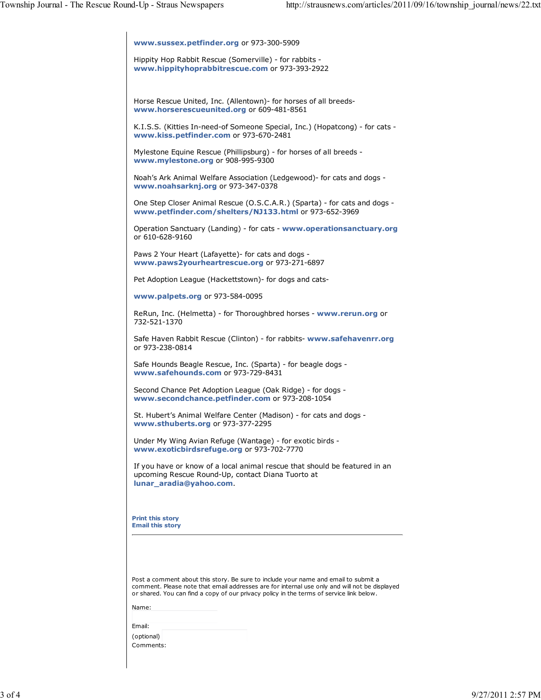| www.sussex.petfinder.org or 973-300-5909                                                                                                                                                                                                                                         |
|----------------------------------------------------------------------------------------------------------------------------------------------------------------------------------------------------------------------------------------------------------------------------------|
| Hippity Hop Rabbit Rescue (Somerville) - for rabbits -<br>www.hippityhoprabbitrescue.com or 973-393-2922                                                                                                                                                                         |
|                                                                                                                                                                                                                                                                                  |
| Horse Rescue United, Inc. (Allentown) for horses of all breeds-<br>www.horserescueunited.org or 609-481-8561                                                                                                                                                                     |
| K.I.S.S. (Kitties In-need-of Someone Special, Inc.) (Hopatcong) - for cats -<br>www.kiss.petfinder.com or 973-670-2481                                                                                                                                                           |
| Mylestone Equine Rescue (Phillipsburg) - for horses of all breeds -<br>www.mylestone.org or 908-995-9300                                                                                                                                                                         |
| Noah's Ark Animal Welfare Association (Ledgewood)- for cats and dogs -<br>www.noahsarknj.org or 973-347-0378                                                                                                                                                                     |
| One Step Closer Animal Rescue (O.S.C.A.R.) (Sparta) - for cats and dogs -<br>www.petfinder.com/shelters/NJ133.html or 973-652-3969                                                                                                                                               |
| Operation Sanctuary (Landing) - for cats - www.operationsanctuary.org<br>or 610-628-9160                                                                                                                                                                                         |
| Paws 2 Your Heart (Lafayette) - for cats and dogs -<br>www.paws2yourheartrescue.org or 973-271-6897                                                                                                                                                                              |
| Pet Adoption League (Hackettstown) - for dogs and cats-                                                                                                                                                                                                                          |
| www.palpets.org or 973-584-0095                                                                                                                                                                                                                                                  |
| ReRun, Inc. (Helmetta) - for Thoroughbred horses - www.rerun.org or<br>732-521-1370                                                                                                                                                                                              |
| Safe Haven Rabbit Rescue (Clinton) - for rabbits- www.safehavenrr.org<br>or 973-238-0814                                                                                                                                                                                         |
| Safe Hounds Beagle Rescue, Inc. (Sparta) - for beagle dogs -<br>www.safehounds.com or 973-729-8431                                                                                                                                                                               |
| Second Chance Pet Adoption League (Oak Ridge) - for dogs -<br>www.secondchance.petfinder.com or 973-208-1054                                                                                                                                                                     |
| St. Hubert's Animal Welfare Center (Madison) - for cats and dogs -<br>www.sthuberts.org or 973-377-2295                                                                                                                                                                          |
| Under My Wing Avian Refuge (Wantage) - for exotic birds -<br>www.exoticbirdsrefuge.org or 973-702-7770                                                                                                                                                                           |
| If you have or know of a local animal rescue that should be featured in an<br>upcoming Rescue Round-Up, contact Diana Tuorto at<br>lunar aradia@yahoo.com.                                                                                                                       |
| <b>Print this story</b><br><b>Email this story</b>                                                                                                                                                                                                                               |
|                                                                                                                                                                                                                                                                                  |
| Post a comment about this story. Be sure to include your name and email to submit a<br>comment. Please note that email addresses are for internal use only and will not be displayed<br>or shared. You can find a copy of our privacy policy in the terms of service link below. |
| Name:                                                                                                                                                                                                                                                                            |
| Email:                                                                                                                                                                                                                                                                           |
| (optional)<br>Comments:                                                                                                                                                                                                                                                          |